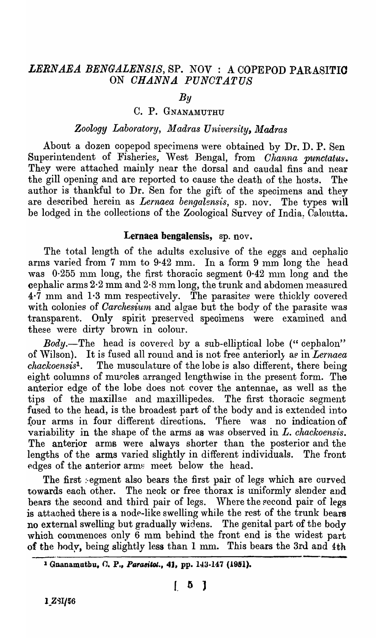## *LERNAEA BENGALENSIS,* SP. NOV: A COPEPOD PARASITIO ON *OHANNA. PUNO'TATUS*

# *By*

### C. P. GNANAMUTHU

# *Zoology Laboratory, Madras University, Madras*

About a dozen copepod specimens were obtained by Dr. D. P. Sen Superintendent of Fisheries, West Bengal, from *Channa punctatus*. They were attached mainly near the dorsal and caudal fins and near the gill opening and are reported to cause the death of the hosts. The author is thankful to Dr. Sen for the gift of the specimens and they are described herein as *Lernaea bengalensis*, sp. nov. The types will be lodged in the collections of the Zoological Survey of India: Caloutta.

#### Lernaea bengalensis, sp. nov.

The total length of the adults exclusive of the eggs and cephalic arms varied from 7 mm to  $9.42$  mm. In a form 9 mm long the head was  $0.255$  mm long, the first thoracic segment  $0.42$  mm long and the cephalic arms 2.2 mm and 2.8 mm long, the trunk and abdomen measured  $4\cdot\bar{7}$  mm and 1.3 mm respectively. The parasites were thickly covered with colonies of *Carchesium* and algae but the body of the parasite was transparent. Only spirit preserved speoimens were examined and these were dirty brown in colour.

*Body.*—The head is covered by a sub-elliptical lobe ("cephalon" of Wilson). It is fused all round and is not free anteriorly as in *Lernaea chackoensis*<sup>1</sup>. The musculature of the lobe is also different, there being eight columns of muscles arranged lengthwise in the present form. The anterior edge of the lobe does not cover the antennae, as well as the tips of the maxillae and maxillipedes. The first thoraoic segment fused to the head, is the broadest part of the body and is extended into four arms in four different directions. There was no indication of variability in the shape of the arms as was observed in *L. chackoensis*. The anterior arms were always shorter than the posterior and the lengths of the arms varied slightly in different individuals. The front edges of the anterior arms meet below the head.

The first segment also bears the first pair of legs which are curved towards each other. The neok or free thorax is uniformly slender and bears the second and third pair of legs. Where the second pair of legs is attached there is a node-like swelling while the rest of the trunk bears no external swelling but gradually widens. The genital part of the body which commences only  $\vec{6}$  mm behind the front end is the widest part of the body, being slightly less than 1 mm. This bears the 3rd and 4th

<sup>&</sup>lt;sup>1</sup> Gnanamutbu, C. P., Parasitot., 41, pp. 143-147 (1951).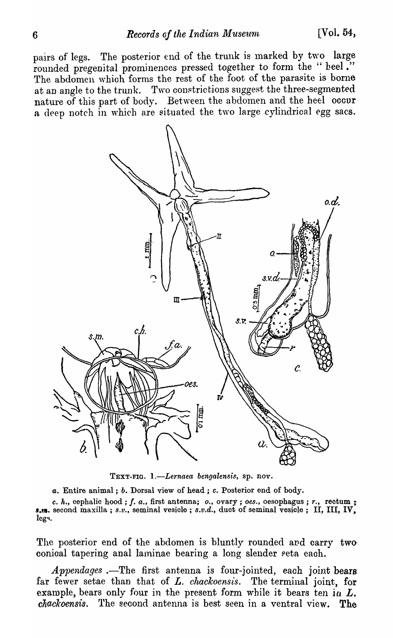pairs of legs. The posterior end of the trunk is marked by two large rounded pregenital prominences pressed together to form the " heel." The abdomen which forms the rest of the foot of the parasite is borne at an angle to the trunk. Two constrictions suggest the three-segmented nature of this part of body. Between the abdomen and the heel occur a deep notch in which are situated the two large cylindrical egg sacs.



TEXT-FIG. *l.-Lernaea bengalensis,* ap. nov.

*a.* Entire animal; *b.* Dorsal view of head; c. Posterior end of body.

c. *h.,* cephalic hood; f. *a.,* first antenna; *0.,* ovary; *oes.,* oesophagus; *r.,* rectum;- *I.m.* second maxilla; *S.v.,* seminal vesicle; *s.v.d.,* duct of seminal vesicle; II, III, IV. legs.

The posterior end of the abdomen is bluntly rounded and carry two conioal tapering anal laminae bearing a long slender seta each.

*Appendages* .—The first antenna is four-jointed, each joint bears far fewer setae than that of *L. chackoensis*. The terminal joint, for example, bears only four in the present form while it bears ten in  $L$ . *cltackoensis.* l'he second antenna is best seen in a ventral view. The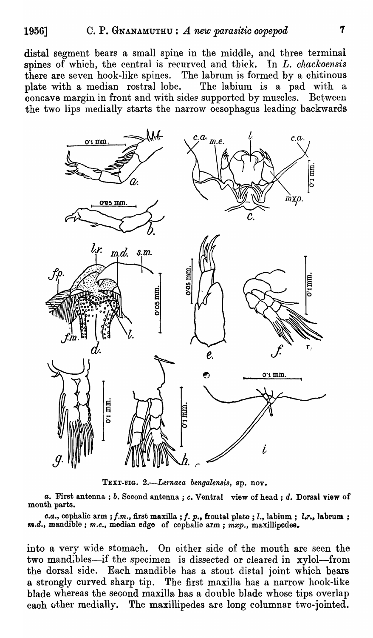distal segment bears a small spine in the middle, and three terminal spines of \vhich, the central is recurved and thick. In *L. chackoensis*  there are seven hook-like spines. The labrum is formed by a chitinous plate with a median rostral lobe. The labium is a pad with concave margin in front and with sides supported by muscles. Between the two lips medially starts the narrow oesophagus leading backwards



TEXT-FIG. 2.-Lernaea bengalensis, sp. nov.

*a.* First antenna; b. Second antenna; *c.* Ventral view of head; d. Dorsal view of mouth parts.

*c.a., cephalic arm; <i>f.m., first maxilla; f. p., frontal plate; l., labium; l.r., labrum; m.d.,* mandible; *m.e.,* median edge of cephalic arm; *mxp.,* maxillipede8.

into a very wide stomach. On either side of the mouth are seen the two mandibles-if the specimen is dissected or cleared in xylol-from the dorsal side. Each mandible has a stout distal joint whioh bears a strongly curved sharp tip. The first maxilla has a narrow hook-like blade whereas the seoond maxilla has a double blade whose tips overlap each other medially. The maxillipedes are long columnar two-jointed.